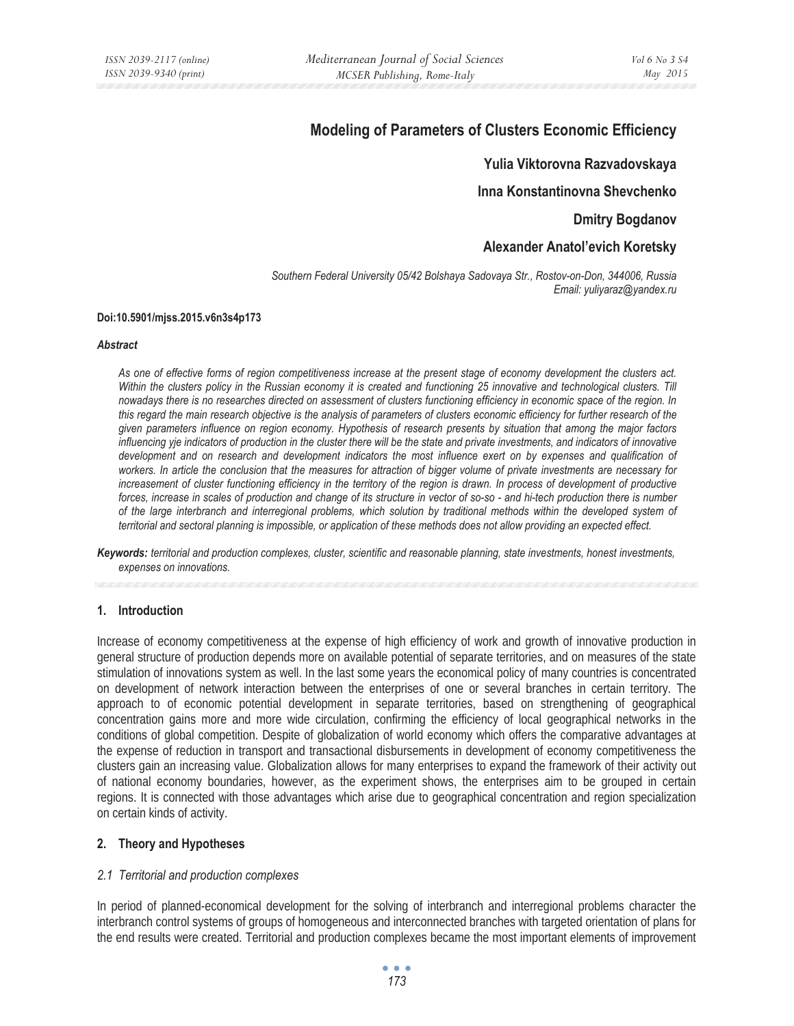# **Modeling of Parameters of Clusters Economic Efficiency**

**Yulia Viktorovna Razvadovskaya** 

**Inna Konstantinovna Shevchenko** 

**Dmitry Bogdanov** 

**Alexander Anatol'evich Koretsky** 

*Southern Federal University 05/42 Bolshaya Sadovaya Str., Rostov-on-Don, 344006, Russia Email: yuliyaraz@yandex.ru* 

#### **Doi:10.5901/mjss.2015.v6n3s4p173**

#### *Abstract*

*As one of effective forms of region competitiveness increase at the present stage of economy development the clusters act. Within the clusters policy in the Russian economy it is created and functioning 25 innovative and technological clusters. Till nowadays there is no researches directed on assessment of clusters functioning efficiency in economic space of the region. In this regard the main research objective is the analysis of parameters of clusters economic efficiency for further research of the given parameters influence on region economy. Hypothesis of research presents by situation that among the major factors influencing yje indicators of production in the cluster there will be the state and private investments, and indicators of innovative* development and on research and development indicators the most influence exert on by expenses and qualification of *workers. In article the conclusion that the measures for attraction of bigger volume of private investments are necessary for increasement of cluster functioning efficiency in the territory of the region is drawn. In process of development of productive forces, increase in scales of production and change of its structure in vector of so-so - and hi-tech production there is number of the large interbranch and interregional problems, which solution by traditional methods within the developed system of territorial and sectoral planning is impossible, or application of these methods does not allow providing an expected effect.* 

*Keywords: territorial and production complexes, cluster, scientific and reasonable planning, state investments, honest investments, expenses on innovations.* 

## **1. Introduction**

Increase of economy competitiveness at the expense of high efficiency of work and growth of innovative production in general structure of production depends more on available potential of separate territories, and on measures of the state stimulation of innovations system as well. In the last some years the economical policy of many countries is concentrated on development of network interaction between the enterprises of one or several branches in certain territory. The approach to of economic potential development in separate territories, based on strengthening of geographical concentration gains more and more wide circulation, confirming the efficiency of local geographical networks in the conditions of global competition. Despite of globalization of world economy which offers the comparative advantages at the expense of reduction in transport and transactional disbursements in development of economy competitiveness the clusters gain an increasing value. Globalization allows for many enterprises to expand the framework of their activity out of national economy boundaries, however, as the experiment shows, the enterprises aim to be grouped in certain regions. It is connected with those advantages which arise due to geographical concentration and region specialization on certain kinds of activity.

## **2. Theory and Hypotheses**

#### *2.1 Territorial and production complexes*

In period of planned-economical development for the solving of interbranch and interregional problems character the interbranch control systems of groups of homogeneous and interconnected branches with targeted orientation of plans for the end results were created. Territorial and production complexes became the most important elements of improvement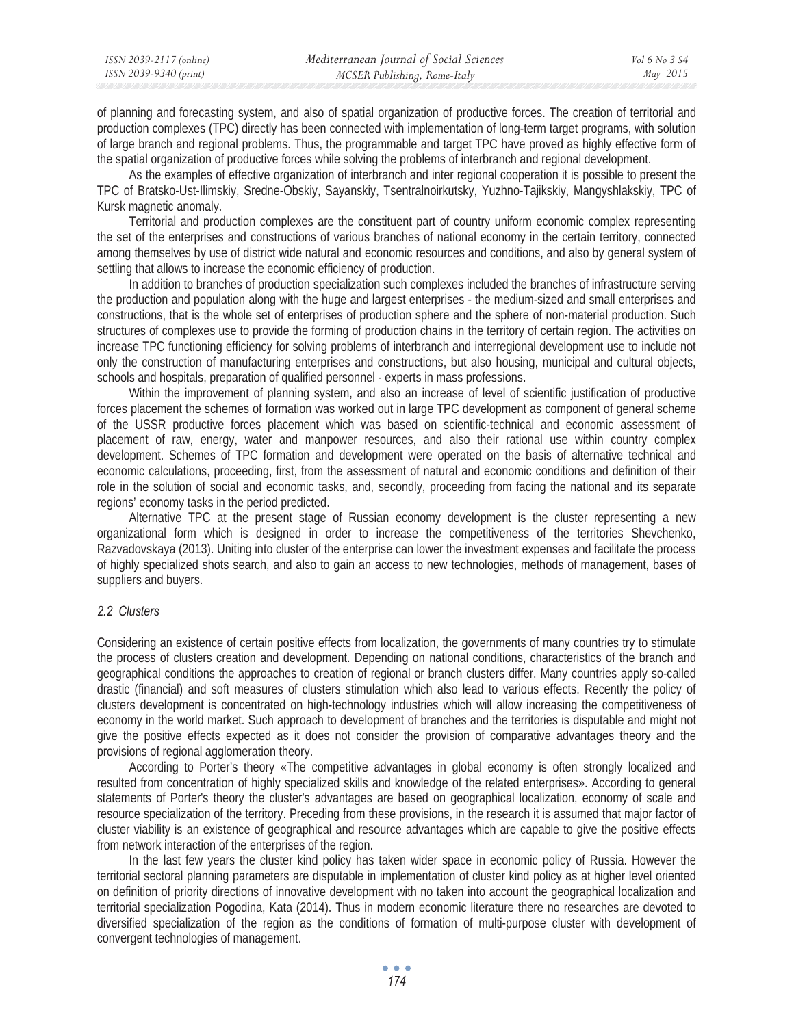of planning and forecasting system, and also of spatial organization of productive forces. The creation of territorial and production complexes (TPC) directly has been connected with implementation of long-term target programs, with solution of large branch and regional problems. Thus, the programmable and target TPC have proved as highly effective form of the spatial organization of productive forces while solving the problems of interbranch and regional development.

As the examples of effective organization of interbranch and inter regional cooperation it is possible to present the TPC of Bratsko-Ust-Ilimskiy, Sredne-Obskiy, Sayanskiy, Tsentralnoirkutsky, Yuzhno-Tajikskiy, Mangyshlakskiy, TPC of Kursk magnetic anomaly.

Territorial and production complexes are the constituent part of country uniform economic complex representing the set of the enterprises and constructions of various branches of national economy in the certain territory, connected among themselves by use of district wide natural and economic resources and conditions, and also by general system of settling that allows to increase the economic efficiency of production.

In addition to branches of production specialization such complexes included the branches of infrastructure serving the production and population along with the huge and largest enterprises - the medium-sized and small enterprises and constructions, that is the whole set of enterprises of production sphere and the sphere of non-material production. Such structures of complexes use to provide the forming of production chains in the territory of certain region. The activities on increase TPC functioning efficiency for solving problems of interbranch and interregional development use to include not only the construction of manufacturing enterprises and constructions, but also housing, municipal and cultural objects, schools and hospitals, preparation of qualified personnel - experts in mass professions.

Within the improvement of planning system, and also an increase of level of scientific justification of productive forces placement the schemes of formation was worked out in large TPC development as component of general scheme of the USSR productive forces placement which was based on scientific-technical and economic assessment of placement of raw, energy, water and manpower resources, and also their rational use within country complex development. Schemes of TPC formation and development were operated on the basis of alternative technical and economic calculations, proceeding, first, from the assessment of natural and economic conditions and definition of their role in the solution of social and economic tasks, and, secondly, proceeding from facing the national and its separate regions' economy tasks in the period predicted.

Alternative TPC at the present stage of Russian economy development is the cluster representing a new organizational form which is designed in order to increase the competitiveness of the territories Shevchenko, Razvadovskaya (2013). Uniting into cluster of the enterprise can lower the investment expenses and facilitate the process of highly specialized shots search, and also to gain an access to new technologies, methods of management, bases of suppliers and buyers.

## *2.2 Clusters*

Considering an existence of certain positive effects from localization, the governments of many countries try to stimulate the process of clusters creation and development. Depending on national conditions, characteristics of the branch and geographical conditions the approaches to creation of regional or branch clusters differ. Many countries apply so-called drastic (financial) and soft measures of clusters stimulation which also lead to various effects. Recently the policy of clusters development is concentrated on high-technology industries which will allow increasing the competitiveness of economy in the world market. Such approach to development of branches and the territories is disputable and might not give the positive effects expected as it does not consider the provision of comparative advantages theory and the provisions of regional agglomeration theory.

According to Porter's theory «The competitive advantages in global economy is often strongly localized and resulted from concentration of highly specialized skills and knowledge of the related enterprises». According to general statements of Porter's theory the cluster's advantages are based on geographical localization, economy of scale and resource specialization of the territory. Preceding from these provisions, in the research it is assumed that major factor of cluster viability is an existence of geographical and resource advantages which are capable to give the positive effects from network interaction of the enterprises of the region.

In the last few years the cluster kind policy has taken wider space in economic policy of Russia. However the territorial sectoral planning parameters are disputable in implementation of cluster kind policy as at higher level oriented on definition of priority directions of innovative development with no taken into account the geographical localization and territorial specialization Pogodina, Kata (2014). Thus in modern economic literature there no researches are devoted to diversified specialization of the region as the conditions of formation of multi-purpose cluster with development of convergent technologies of management.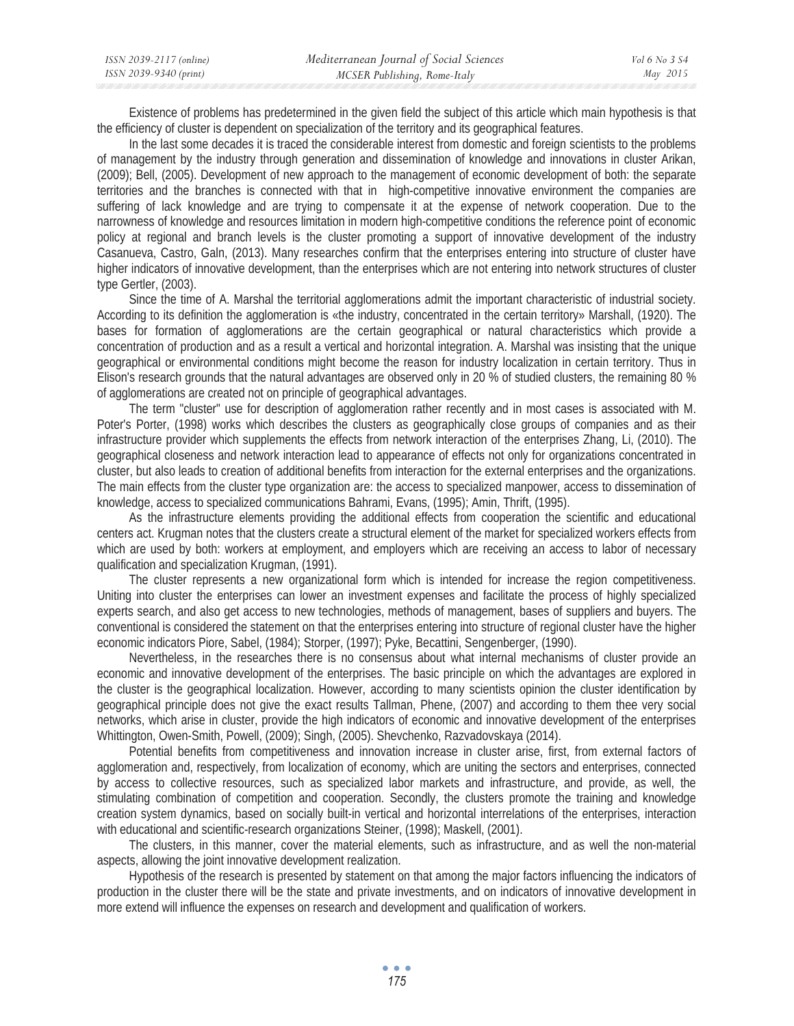| ISSN 2039-2117 (online) | Mediterranean Journal of Social Sciences | Vol 6 No 3 S4 |
|-------------------------|------------------------------------------|---------------|
| ISSN 2039-9340 (print)  | MCSER Publishing, Rome-Italy             | May 2015      |

Existence of problems has predetermined in the given field the subject of this article which main hypothesis is that the efficiency of cluster is dependent on specialization of the territory and its geographical features.

In the last some decades it is traced the considerable interest from domestic and foreign scientists to the problems of management by the industry through generation and dissemination of knowledge and innovations in cluster Arikan, (2009); Bell, (2005). Development of new approach to the management of economic development of both: the separate territories and the branches is connected with that in high-competitive innovative environment the companies are suffering of lack knowledge and are trying to compensate it at the expense of network cooperation. Due to the narrowness of knowledge and resources limitation in modern high-competitive conditions the reference point of economic policy at regional and branch levels is the cluster promoting a support of innovative development of the industry Casanueva, Castro, Galn, (2013). Many researches confirm that the enterprises entering into structure of cluster have higher indicators of innovative development, than the enterprises which are not entering into network structures of cluster type Gertler, (2003).

Since the time of A. Marshal the territorial agglomerations admit the important characteristic of industrial society. According to its definition the agglomeration is «the industry, concentrated in the certain territory» Marshall, (1920). The bases for formation of agglomerations are the certain geographical or natural characteristics which provide a concentration of production and as a result a vertical and horizontal integration. A. Marshal was insisting that the unique geographical or environmental conditions might become the reason for industry localization in certain territory. Thus in Elison's research grounds that the natural advantages are observed only in 20 % of studied clusters, the remaining 80 % of agglomerations are created not on principle of geographical advantages.

The term "cluster" use for description of agglomeration rather recently and in most cases is associated with M. Poter's Porter, (1998) works which describes the clusters as geographically close groups of companies and as their infrastructure provider which supplements the effects from network interaction of the enterprises Zhang, Li, (2010). The geographical closeness and network interaction lead to appearance of effects not only for organizations concentrated in cluster, but also leads to creation of additional benefits from interaction for the external enterprises and the organizations. The main effects from the cluster type organization are: the access to specialized manpower, access to dissemination of knowledge, access to specialized communications Bahrami, Evans, (1995); Amin, Thrift, (1995).

As the infrastructure elements providing the additional effects from cooperation the scientific and educational centers act. Krugman notes that the clusters create a structural element of the market for specialized workers effects from which are used by both: workers at employment, and employers which are receiving an access to labor of necessary qualification and specialization Krugman, (1991).

The cluster represents a new organizational form which is intended for increase the region competitiveness. Uniting into cluster the enterprises can lower an investment expenses and facilitate the process of highly specialized experts search, and also get access to new technologies, methods of management, bases of suppliers and buyers. The conventional is considered the statement on that the enterprises entering into structure of regional cluster have the higher economic indicators Piore, Sabel, (1984); Storper, (1997); Pyke, Becattini, Sengenberger, (1990).

Nevertheless, in the researches there is no consensus about what internal mechanisms of cluster provide an economic and innovative development of the enterprises. The basic principle on which the advantages are explored in the cluster is the geographical localization. However, according to many scientists opinion the cluster identification by geographical principle does not give the exact results Tallman, Phene, (2007) and according to them thee very social networks, which arise in cluster, provide the high indicators of economic and innovative development of the enterprises Whittington, Owen-Smith, Powell, (2009); Singh, (2005). Shevchenko, Razvadovskaya (2014).

Potential benefits from competitiveness and innovation increase in cluster arise, first, from external factors of agglomeration and, respectively, from localization of economy, which are uniting the sectors and enterprises, connected by access to collective resources, such as specialized labor markets and infrastructure, and provide, as well, the stimulating combination of competition and cooperation. Secondly, the clusters promote the training and knowledge creation system dynamics, based on socially built-in vertical and horizontal interrelations of the enterprises, interaction with educational and scientific-research organizations Steiner, (1998); Maskell, (2001).

The clusters, in this manner, cover the material elements, such as infrastructure, and as well the non-material aspects, allowing the joint innovative development realization.

Hypothesis of the research is presented by statement on that among the major factors influencing the indicators of production in the cluster there will be the state and private investments, and on indicators of innovative development in more extend will influence the expenses on research and development and qualification of workers.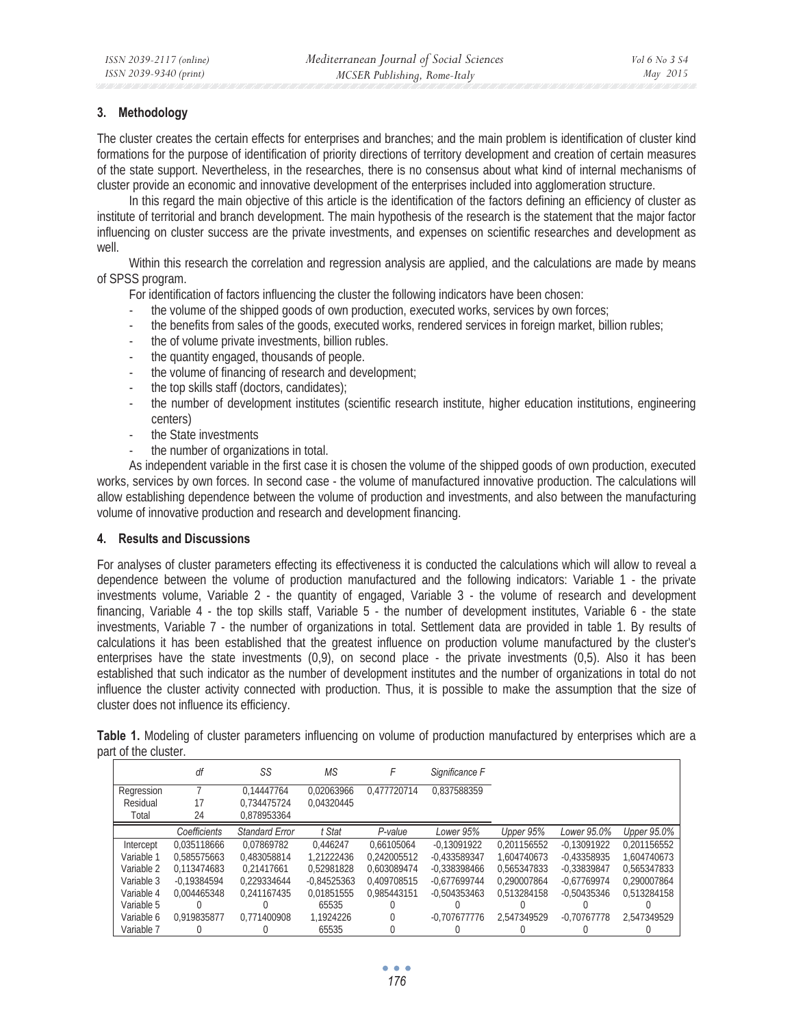## **3. Methodology**

The cluster creates the certain effects for enterprises and branches; and the main problem is identification of cluster kind formations for the purpose of identification of priority directions of territory development and creation of certain measures of the state support. Nevertheless, in the researches, there is no consensus about what kind of internal mechanisms of cluster provide an economic and innovative development of the enterprises included into agglomeration structure.

In this regard the main objective of this article is the identification of the factors defining an efficiency of cluster as institute of territorial and branch development. The main hypothesis of the research is the statement that the major factor influencing on cluster success are the private investments, and expenses on scientific researches and development as well.

Within this research the correlation and regression analysis are applied, and the calculations are made by means of SPSS program.

For identification of factors influencing the cluster the following indicators have been chosen:

- the volume of the shipped goods of own production, executed works, services by own forces;
- the benefits from sales of the goods, executed works, rendered services in foreign market, billion rubles;
- the of volume private investments, billion rubles.
- the quantity engaged, thousands of people.
- the volume of financing of research and development:
- the top skills staff (doctors, candidates);
- the number of development institutes (scientific research institute, higher education institutions, engineering centers)
- the State investments
- the number of organizations in total.

As independent variable in the first case it is chosen the volume of the shipped goods of own production, executed works, services by own forces. In second case - the volume of manufactured innovative production. The calculations will allow establishing dependence between the volume of production and investments, and also between the manufacturing volume of innovative production and research and development financing.

## **4. Results and Discussions**

For analyses of cluster parameters effecting its effectiveness it is conducted the calculations which will allow to reveal a dependence between the volume of production manufactured and the following indicators: Variable 1 - the private investments volume, Variable 2 - the quantity of engaged, Variable 3 - the volume of research and development financing, Variable 4 - the top skills staff, Variable 5 - the number of development institutes, Variable 6 - the state investments, Variable 7 - the number of organizations in total. Settlement data are provided in table 1. By results of calculations it has been established that the greatest influence on production volume manufactured by the cluster's enterprises have the state investments (0,9), on second place - the private investments (0,5). Also it has been established that such indicator as the number of development institutes and the number of organizations in total do not influence the cluster activity connected with production. Thus, it is possible to make the assumption that the size of cluster does not influence its efficiency.

|            | df            | SS             | MS            |             | Significance F |             |               |             |
|------------|---------------|----------------|---------------|-------------|----------------|-------------|---------------|-------------|
| Regression |               | 0.14447764     | 0.02063966    | 0.477720714 | 0.837588359    |             |               |             |
| Residual   | 17            | 0.734475724    | 0.04320445    |             |                |             |               |             |
| Total      | 24            | 0.878953364    |               |             |                |             |               |             |
|            | Coefficients  | Standard Error | t Stat        | P-value     | Lower 95%      | Upper 95%   | Lower 95.0%   | Upper 95.0% |
| Intercept  | 0.035118666   | 0.07869782     | 0.446247      | 0.66105064  | $-0.13091922$  | 0.201156552 | $-0.13091922$ | 0.201156552 |
| Variable 1 | 0.585575663   | 0.483058814    | 1.21222436    | 0.242005512 | $-0.433589347$ | 1.604740673 | $-0.43358935$ | 1.604740673 |
| Variable 2 | 0.113474683   | 0.21417661     | 0.52981828    | 0.603089474 | $-0.338398466$ | 0.565347833 | $-0.33839847$ | 0.565347833 |
| Variable 3 | $-0.19384594$ | 0.229334644    | $-0.84525363$ | 0.409708515 | $-0.677699744$ | 0.290007864 | $-0.67769974$ | 0.290007864 |
| Variable 4 | 0.004465348   | 0.241167435    | 0.01851555    | 0.985443151 | $-0.504353463$ | 0.513284158 | $-0.50435346$ | 0.513284158 |
| Variable 5 |               |                | 65535         |             |                |             |               |             |
| Variable 6 | 0.919835877   | 0.771400908    | 1.1924226     | 0           | $-0.707677776$ | 2.547349529 | $-0.70767778$ | 2.547349529 |
| Variable 7 |               |                | 65535         |             |                |             |               |             |

**Table 1.** Modeling of cluster parameters influencing on volume of production manufactured by enterprises which are a part of the cluster.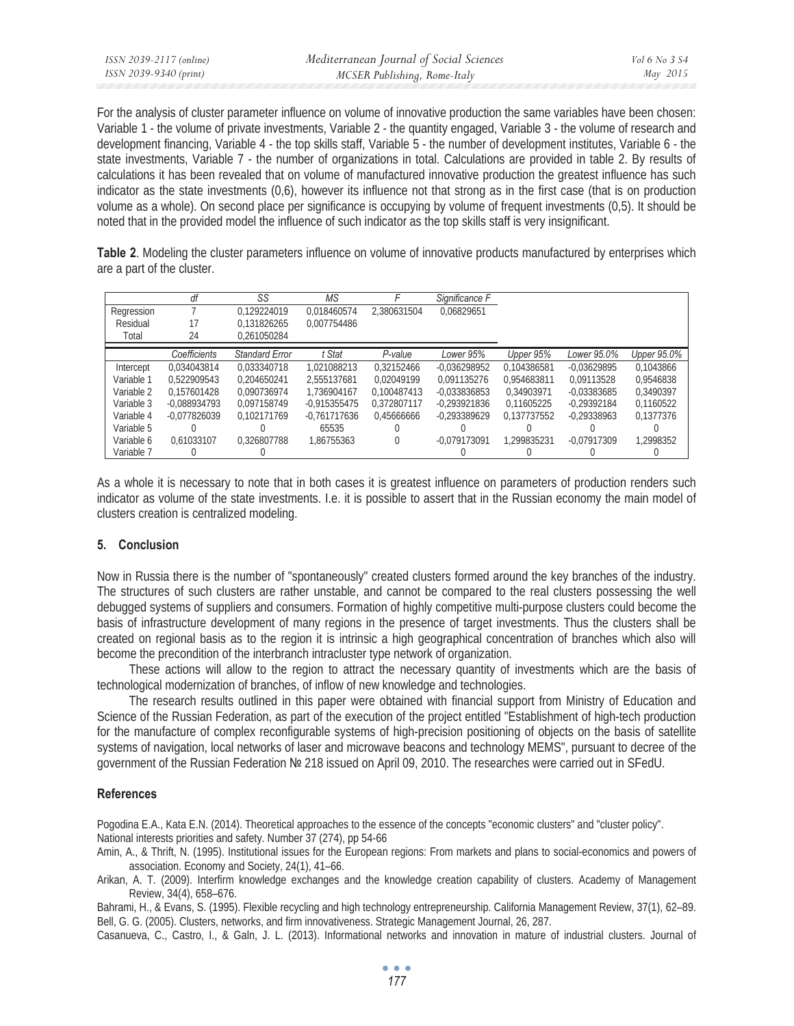For the analysis of cluster parameter influence on volume of innovative production the same variables have been chosen: Variable 1 - the volume of private investments, Variable 2 - the quantity engaged, Variable 3 - the volume of research and development financing, Variable 4 - the top skills staff, Variable 5 - the number of development institutes, Variable 6 - the state investments, Variable 7 - the number of organizations in total. Calculations are provided in table 2. By results of calculations it has been revealed that on volume of manufactured innovative production the greatest influence has such indicator as the state investments (0,6), however its influence not that strong as in the first case (that is on production volume as a whole). On second place per significance is occupying by volume of frequent investments (0,5). It should be noted that in the provided model the influence of such indicator as the top skills staff is very insignificant.

**Table 2**. Modeling the cluster parameters influence on volume of innovative products manufactured by enterprises which are a part of the cluster.

|            | df             | SS                    | MS             |             | Significance F |             |               |             |
|------------|----------------|-----------------------|----------------|-------------|----------------|-------------|---------------|-------------|
| Regression |                | 0.129224019           | 0.018460574    | 2.380631504 | 0.06829651     |             |               |             |
| Residual   | 17             | 0.131826265           | 0.007754486    |             |                |             |               |             |
| Total      | 24             | 0.261050284           |                |             |                |             |               |             |
|            | Coefficients   | <b>Standard Error</b> | t Stat         | P-value     | Lower 95%      | Upper 95%   | Lower 95.0%   | Upper 95.0% |
| Intercept  | 0.034043814    | 0.033340718           | 1.021088213    | 0.32152466  | $-0.036298952$ | 0.104386581 | $-0.03629895$ | 0.1043866   |
| Variable 1 | 0.522909543    | 0.204650241           | 2.555137681    | 0.02049199  | 0.091135276    | 0.954683811 | 0.09113528    | 0.9546838   |
| Variable 2 | 0.157601428    | 0.090736974           | 1.736904167    | 0.100487413 | $-0.033836853$ | 0.34903971  | $-0.03383685$ | 0.3490397   |
| Variable 3 | $-0.088934793$ | 0.097158749           | $-0.915355475$ | 0.372807117 | $-0.293921836$ | 0.11605225  | $-0.29392184$ | 0.1160522   |
| Variable 4 | $-0.077826039$ | 0.102171769           | $-0.761717636$ | 0.45666666  | -0.293389629   | 0.137737552 | $-0.29338963$ | 0.1377376   |
| Variable 5 |                |                       | 65535          |             |                |             |               |             |
| Variable 6 | 0.61033107     | 0.326807788           | 1.86755363     |             | $-0.079173091$ | 1.299835231 | $-0.07917309$ | 1.2998352   |
| Variable 7 |                |                       |                |             |                |             |               |             |

As a whole it is necessary to note that in both cases it is greatest influence on parameters of production renders such indicator as volume of the state investments. I.e. it is possible to assert that in the Russian economy the main model of clusters creation is centralized modeling.

## **5. Conclusion**

Now in Russia there is the number of "spontaneously" created clusters formed around the key branches of the industry. The structures of such clusters are rather unstable, and cannot be compared to the real clusters possessing the well debugged systems of suppliers and consumers. Formation of highly competitive multi-purpose clusters could become the basis of infrastructure development of many regions in the presence of target investments. Thus the clusters shall be created on regional basis as to the region it is intrinsic a high geographical concentration of branches which also will become the precondition of the interbranch intracluster type network of organization.

These actions will allow to the region to attract the necessary quantity of investments which are the basis of technological modernization of branches, of inflow of new knowledge and technologies.

The research results outlined in this paper were obtained with financial support from Ministry of Education and Science of the Russian Federation, as part of the execution of the project entitled "Establishment of high-tech production for the manufacture of complex reconfigurable systems of high-precision positioning of objects on the basis of satellite systems of navigation, local networks of laser and microwave beacons and technology MEMS", pursuant to decree of the government of the Russian Federation № 218 issued on April 09, 2010. The researches were carried out in SFedU.

## **References**

Pogodina E.A., Kata E.N. (2014). Theoretical approaches to the essence of the concepts "economic clusters" and "cluster policy". National interests priorities and safety. Number 37 (274), pp 54-66

Amin, A., & Thrift, N. (1995). Institutional issues for the European regions: From markets and plans to social-economics and powers of association. Economy and Society, 24(1), 41–66.

Arikan, A. T. (2009). Interfirm knowledge exchanges and the knowledge creation capability of clusters. Academy of Management Review, 34(4), 658–676.

Bahrami, H., & Evans, S. (1995). Flexible recycling and high technology entrepreneurship. California Management Review, 37(1), 62–89. Bell, G. G. (2005). Clusters, networks, and firm innovativeness. Strategic Management Journal, 26, 287.

Casanueva, C., Castro, I., & Galn, J. L. (2013). Informational networks and innovation in mature of industrial clusters. Journal of